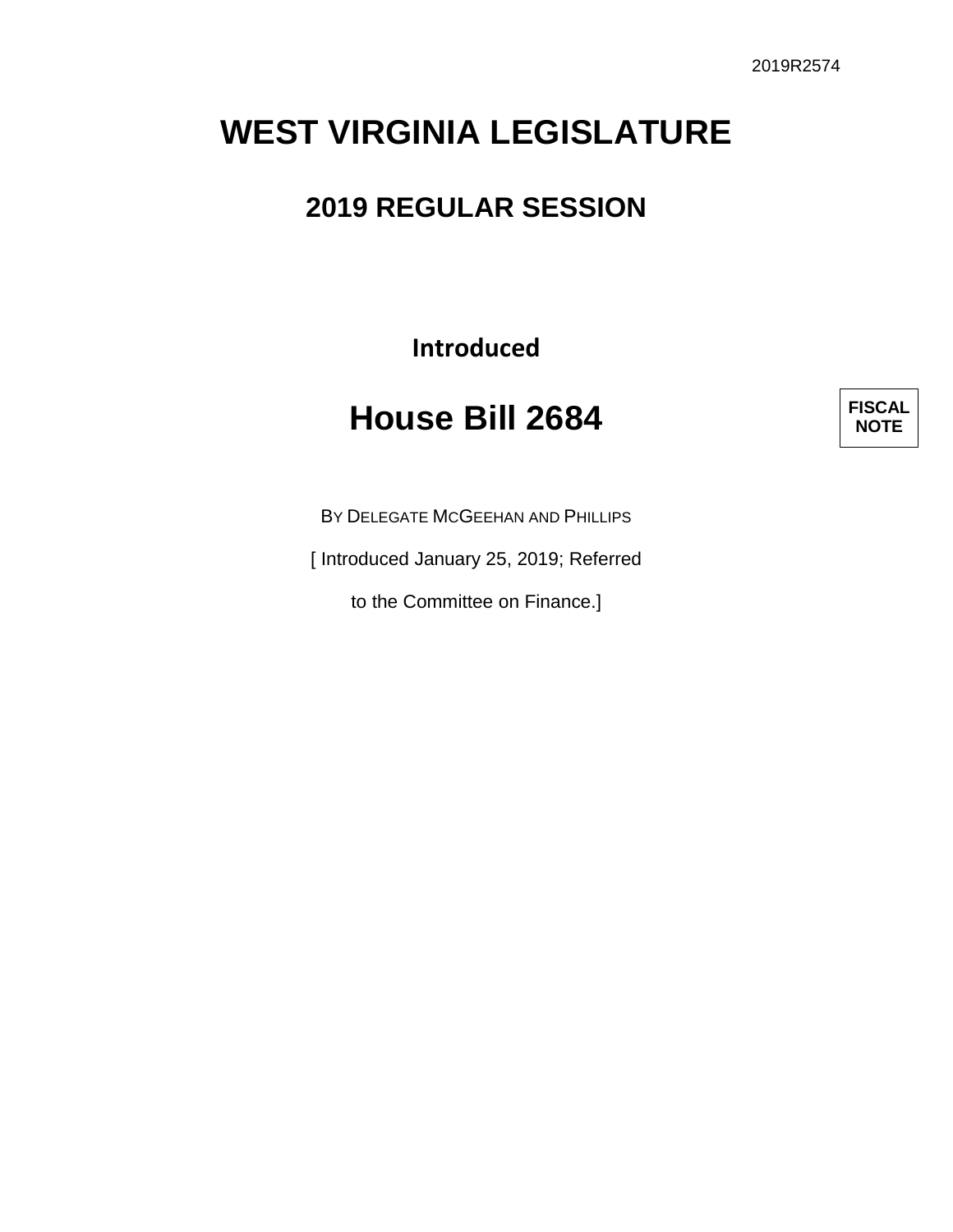# **WEST VIRGINIA LEGISLATURE**

### **2019 REGULAR SESSION**

**Introduced**

## **House Bill 2684**

**FISCAL NOTE**

BY DELEGATE MCGEEHAN AND PHILLIPS

[ Introduced January 25, 2019; Referred

to the Committee on Finance.]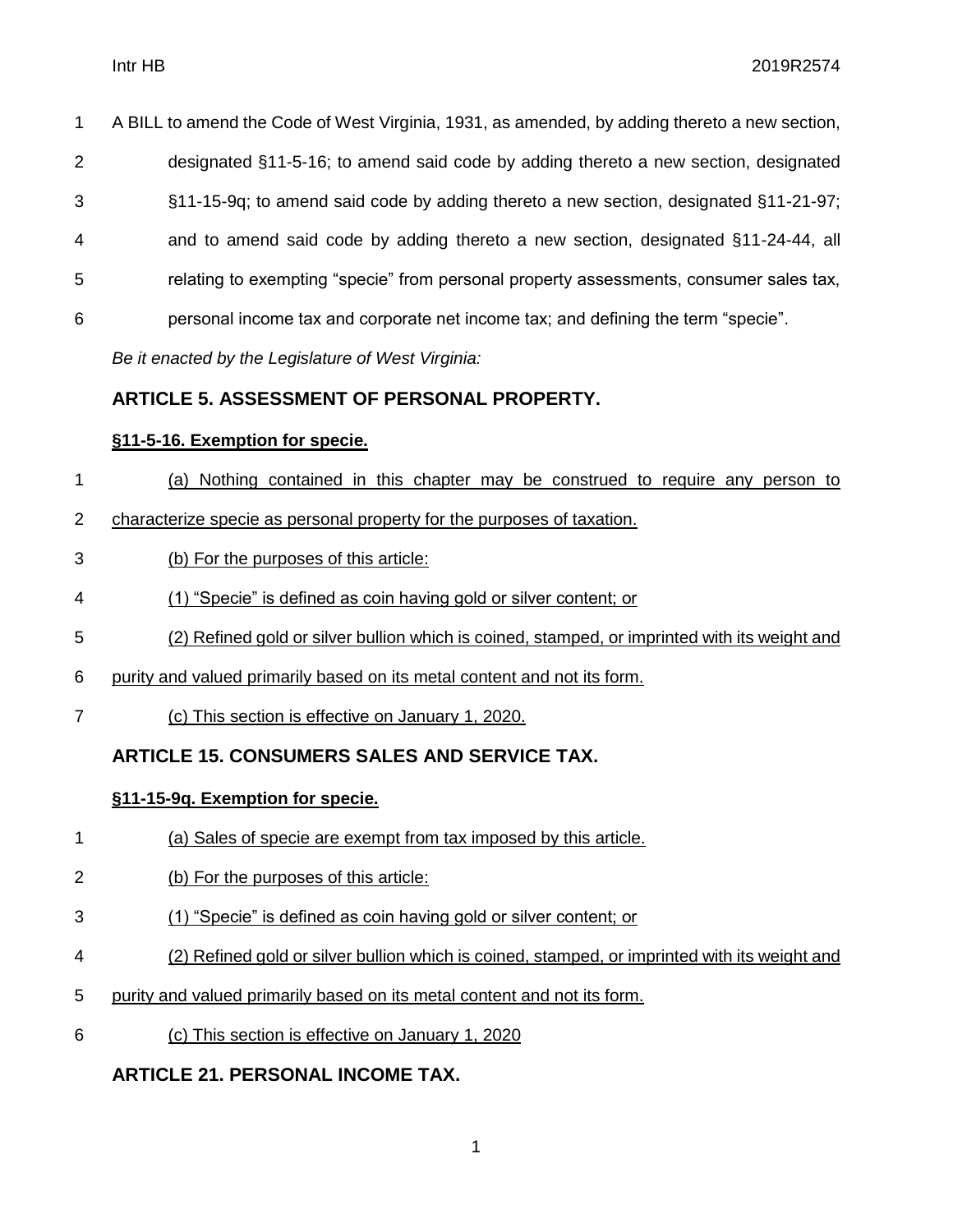A BILL to amend the Code of West Virginia, 1931, as amended, by adding thereto a new section, designated §11-5-16; to amend said code by adding thereto a new section, designated §11-15-9q; to amend said code by adding thereto a new section, designated §11-21-97; and to amend said code by adding thereto a new section, designated §11-24-44, all relating to exempting "specie" from personal property assessments, consumer sales tax, personal income tax and corporate net income tax; and defining the term "specie".

*Be it enacted by the Legislature of West Virginia:*

#### **ARTICLE 5. ASSESSMENT OF PERSONAL PROPERTY.**

#### **§11-5-16. Exemption for specie.**

- (a) Nothing contained in this chapter may be construed to require any person to
- characterize specie as personal property for the purposes of taxation.
- (b) For the purposes of this article:
- (1) "Specie" is defined as coin having gold or silver content; or
- (2) Refined gold or silver bullion which is coined, stamped, or imprinted with its weight and
- purity and valued primarily based on its metal content and not its form.
- (c) This section is effective on January 1, 2020.

#### **ARTICLE 15. CONSUMERS SALES AND SERVICE TAX.**

#### **§11-15-9q. Exemption for specie.**

- (a) Sales of specie are exempt from tax imposed by this article.
- (b) For the purposes of this article:
- (1) "Specie" is defined as coin having gold or silver content; or
- (2) Refined gold or silver bullion which is coined, stamped, or imprinted with its weight and
- purity and valued primarily based on its metal content and not its form.
- (c) This section is effective on January 1, 2020

#### **ARTICLE 21. PERSONAL INCOME TAX.**